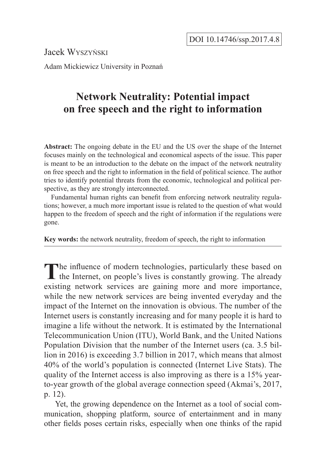Jacek Wyszyński

Adam Mickiewicz University in Poznań

# **Network Neutrality: Potential impact on free speech and the right to information**

**Abstract:** The ongoing debate in the EU and the US over the shape of the Internet focuses mainly on the technological and economical aspects of the issue. This paper is meant to be an introduction to the debate on the impact of the network neutrality on free speech and the right to information in the field of political science. The author tries to identify potential threats from the economic, technological and political perspective, as they are strongly interconnected.

Fundamental human rights can benefit from enforcing network neutrality regulations; however, a much more important issue is related to the question of what would happen to the freedom of speech and the right of information if the regulations were gone.

**Key words:** the network neutrality, freedom of speech, the right to information

The influence of modern technologies, particularly these based on the Internet, on people's lives is constantly growing. The already existing network services are gaining more and more importance, while the new network services are being invented everyday and the impact of the Internet on the innovation is obvious. The number of the Internet users is constantly increasing and for many people it is hard to imagine a life without the network. It is estimated by the International Telecommunication Union (ITU), World Bank, and the United Nations Population Division that the number of the Internet users (ca. 3.5 billion in 2016) is exceeding 3.7 billion in 2017, which means that almost 40% of the world's population is connected (Internet Live Stats). The quality of the Internet access is also improving as there is a 15% yearto-year growth of the global average connection speed (Akmai's, 2017, p. 12).

Yet, the growing dependence on the Internet as a tool of social communication, shopping platform, source of entertainment and in many other fields poses certain risks, especially when one thinks of the rapid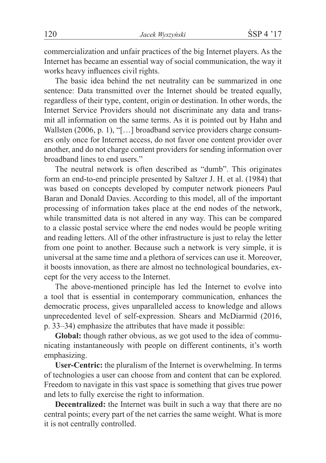commercialization and unfair practices of the big Internet players. As the Internet has became an essential way of social communication, the way it works heavy influences civil rights.

The basic idea behind the net neutrality can be summarized in one sentence: Data transmitted over the Internet should be treated equally, regardless of their type, content, origin or destination. In other words, the Internet Service Providers should not discriminate any data and transmit all information on the same terms. As it is pointed out by Hahn and Wallsten (2006, p. 1), "[...] broadband service providers charge consumers only once for Internet access, do not favor one content provider over another, and do not charge content providers for sending information over broadband lines to end users."

The neutral network is often described as "dumb". This originates form an end-to-end principle presented by Saltzer J. H. et al. (1984) that was based on concepts developed by computer network pioneers Paul Baran and Donald Davies. According to this model, all of the important processing of information takes place at the end nodes of the network, while transmitted data is not altered in any way. This can be compared to a classic postal service where the end nodes would be people writing and reading letters. All of the other infrastructure is just to relay the letter from one point to another. Because such a network is very simple, it is universal at the same time and a plethora of services can use it. Moreover, it boosts innovation, as there are almost no technological boundaries, except for the very access to the Internet.

The above-mentioned principle has led the Internet to evolve into a tool that is essential in contemporary communication, enhances the democratic process, gives unparalleled access to knowledge and allows unprecedented level of self-expression. Shears and McDiarmid (2016, p. 33–34) emphasize the attributes that have made it possible:

Global: though rather obvious, as we got used to the idea of communicating instantaneously with people on different continents, it's worth emphasizing.

**User-Centric:** the pluralism of the Internet is overwhelming. In terms of technologies a user can choose from and content that can be explored. Freedom to navigate in this vast space is something that gives true power and lets to fully exercise the right to information.

**Decentralized:** the Internet was built in such a way that there are no central points; every part of the net carries the same weight. What is more it is not centrally controlled.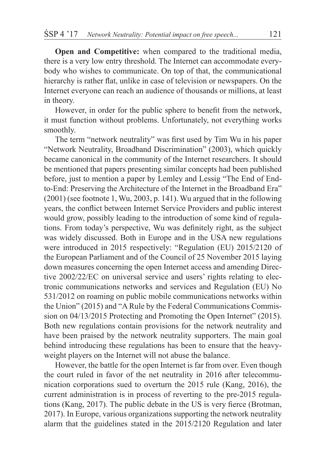**Open and Competitive:** when compared to the traditional media, there is a very low entry threshold. The Internet can accommodate everybody who wishes to communicate. On top of that, the communicational hierarchy is rather flat, unlike in case of television or newspapers. On the Internet everyone can reach an audience of thousands or millions, at least in theory.

However, in order for the public sphere to benefit from the network, it must function without problems. Unfortunately, not everything works smoothly.

The term "network neutrality" was first used by Tim Wu in his paper "Network Neutrality, Broadband Discrimination" (2003), which quickly became canonical in the community of the Internet researchers. It should be mentioned that papers presenting similar concepts had been published before, just to mention a paper by Lemley and Lessig "The End of Endto-End: Preserving the Architecture of the Internet in the Broadband Era" (2001) (see footnote 1, Wu, 2003, p. 141). Wu argued that in the following years, the conflict between Internet Service Providers and public interest would grow, possibly leading to the introduction of some kind of regulations. From today's perspective, Wu was definitely right, as the subject was widely discussed. Both in Europe and in the USA new regulations were introduced in 2015 respectively: "Regulation (EU) 2015/2120 of the European Parliament and of the Council of 25 November 2015 laying down measures concerning the open Internet access and amending Directive 2002/22/EC on universal service and users' rights relating to electronic communications networks and services and Regulation (EU) No 531/2012 on roaming on public mobile communications networks within the Union" (2015) and "A Rule by the Federal Communications Commission on 04/13/2015 Protecting and Promoting the Open Internet" (2015). Both new regulations contain provisions for the network neutrality and have been praised by the network neutrality supporters. The main goal behind introducing these regulations has been to ensure that the heavyweight players on the Internet will not abuse the balance.

However, the battle for the open Internet is far from over. Even though the court ruled in favor of the net neutrality in 2016 after telecommunication corporations sued to overturn the 2015 rule (Kang, 2016), the current administration is in process of reverting to the pre-2015 regulations (Kang, 2017). The public debate in the US is very fierce (Brotman, 2017). In Europe, various organizations supporting the network neutrality alarm that the guidelines stated in the 2015/2120 Regulation and later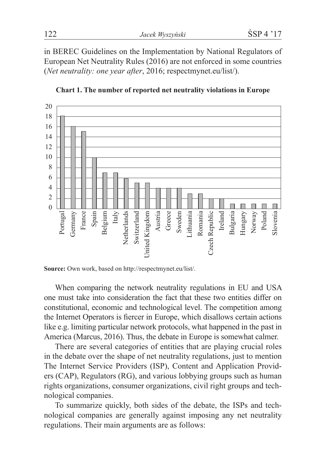in BEREC Guidelines on the Implementation by National Regulators of European Net Neutrality Rules (2016) are not enforced in some countries (*Net neutrality: one year after*, 2016; respectmynet.eu/list/).



**Chart 1. The number of reported net neutrality violations in Europe**

When comparing the network neutrality regulations in EU and USA one must take into consideration the fact that these two entities differ on constitutional, economic and technological level. The competition among the Internet Operators is fiercer in Europe, which disallows certain actions like e.g. limiting particular network protocols, what happened in the past in America (Marcus, 2016). Thus, the debate in Europe is somewhat calmer.

There are several categories of entities that are playing crucial roles in the debate over the shape of net neutrality regulations, just to mention The Internet Service Providers (ISP), Content and Application Providers (CAP), Regulators (RG), and various lobbying groups such as human rights organizations, consumer organizations, civil right groups and technological companies.

To summarize quickly, both sides of the debate, the ISPs and technological companies are generally against imposing any net neutrality regulations. Their main arguments are as follows:

**Source:** Own work, based on http://respectmynet.eu/list/.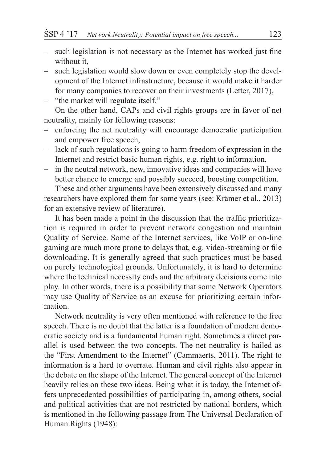- such legislation is not necessary as the Internet has worked just fine without it,
- such legislation would slow down or even completely stop the development of the Internet infrastructure, because it would make it harder for many companies to recover on their investments (Letter, 2017),
- "the market will regulate itself."

On the other hand, CAPs and civil rights groups are in favor of net neutrality, mainly for following reasons:

- enforcing the net neutrality will encourage democratic participation and empower free speech,
- lack of such regulations is going to harm freedom of expression in the Internet and restrict basic human rights, e.g. right to information,
- in the neutral network, new, innovative ideas and companies will have better chance to emerge and possibly succeed, boosting competition.

These and other arguments have been extensively discussed and many researchers have explored them for some years (see: Krämer et al., 2013) for an extensive review of literature).

It has been made a point in the discussion that the traffic prioritization is required in order to prevent network congestion and maintain Quality of Service. Some of the Internet services, like VoIP or on-line gaming are much more prone to delays that, e.g. video-streaming or file downloading. It is generally agreed that such practices must be based on purely technological grounds. Unfortunately, it is hard to determine where the technical necessity ends and the arbitrary decisions come into play. In other words, there is a possibility that some Network Operators may use Quality of Service as an excuse for prioritizing certain information.

Network neutrality is very often mentioned with reference to the free speech. There is no doubt that the latter is a foundation of modern democratic society and is a fundamental human right. Sometimes a direct parallel is used between the two concepts. The net neutrality is hailed as the "First Amendment to the Internet" (Cammaerts, 2011). The right to information is a hard to overrate. Human and civil rights also appear in the debate on the shape of the Internet. The general concept of the Internet heavily relies on these two ideas. Being what it is today, the Internet offers unprecedented possibilities of participating in, among others, social and political activities that are not restricted by national borders, which is mentioned in the following passage from The Universal Declaration of Human Rights (1948):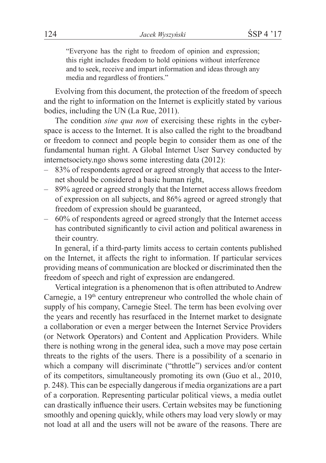"Everyone has the right to freedom of opinion and expression; this right includes freedom to hold opinions without interference and to seek, receive and impart information and ideas through any media and regardless of frontiers."

Evolving from this document, the protection of the freedom of speech and the right to information on the Internet is explicitly stated by various bodies, including the UN (La Rue, 2011).

The condition *sine qua non* of exercising these rights in the cyberspace is access to the Internet. It is also called the right to the broadband or freedom to connect and people begin to consider them as one of the fundamental human right. A Global Internet User Survey conducted by internetsociety.ngo shows some interesting data (2012):

- 83% of respondents agreed or agreed strongly that access to the Internet should be considered a basic human right,
- 89% agreed or agreed strongly that the Internet access allows freedom of expression on all subjects, and 86% agreed or agreed strongly that freedom of expression should be guaranteed,
- 60% of respondents agreed or agreed strongly that the Internet access has contributed significantly to civil action and political awareness in their country.

In general, if a third-party limits access to certain contents published on the Internet, it affects the right to information. If particular services providing means of communication are blocked or discriminated then the freedom of speech and right of expression are endangered.

Vertical integration is a phenomenon that is often attributed to Andrew Carnegie, a 19th century entrepreneur who controlled the whole chain of supply of his company, Carnegie Steel. The term has been evolving over the years and recently has resurfaced in the Internet market to designate a collaboration or even a merger between the Internet Service Providers (or Network Operators) and Content and Application Providers. While there is nothing wrong in the general idea, such a move may pose certain threats to the rights of the users. There is a possibility of a scenario in which a company will discriminate ("throttle") services and/or content of its competitors, simultaneously promoting its own (Guo et al., 2010, p. 248). This can be especially dangerous if media organizations are a part of a corporation. Representing particular political views, a media outlet can drastically influence their users. Certain websites may be functioning smoothly and opening quickly, while others may load very slowly or may not load at all and the users will not be aware of the reasons. There are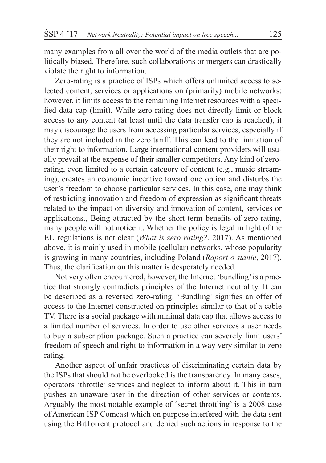many examples from all over the world of the media outlets that are politically biased. Therefore, such collaborations or mergers can drastically violate the right to information.

Zero-rating is a practice of ISPs which offers unlimited access to selected content, services or applications on (primarily) mobile networks; however, it limits access to the remaining Internet resources with a specified data cap (limit). While zero-rating does not directly limit or block access to any content (at least until the data transfer cap is reached), it may discourage the users from accessing particular services, especially if they are not included in the zero tariff. This can lead to the limitation of their right to information. Large international content providers will usually prevail at the expense of their smaller competitors. Any kind of zerorating, even limited to a certain category of content (e.g., music streaming), creates an economic incentive toward one option and disturbs the user's freedom to choose particular services. In this case, one may think of restricting innovation and freedom of expression as significant threats related to the impact on diversity and innovation of content, services or applications., Being attracted by the short-term benefits of zero-rating, many people will not notice it. Whether the policy is legal in light of the EU regulations is not clear (*What is zero rating?*, 2017). As mentioned above, it is mainly used in mobile (cellular) networks, whose popularity is growing in many countries, including Poland (*Raport o stanie*, 2017). Thus, the clarification on this matter is desperately needed.

Not very often encountered, however, the Internet 'bundling' is a practice that strongly contradicts principles of the Internet neutrality. It can be described as a reversed zero-rating. 'Bundling' signifies an offer of access to the Internet constructed on principles similar to that of a cable TV. There is a social package with minimal data cap that allows access to a limited number of services. In order to use other services a user needs to buy a subscription package. Such a practice can severely limit users' freedom of speech and right to information in a way very similar to zero rating.

Another aspect of unfair practices of discriminating certain data by the ISPs that should not be overlooked is the transparency. In many cases, operators 'throttle' services and neglect to inform about it. This in turn pushes an unaware user in the direction of other services or contents. Arguably the most notable example of 'secret throttling' is a 2008 case of American ISP Comcast which on purpose interfered with the data sent using the BitTorrent protocol and denied such actions in response to the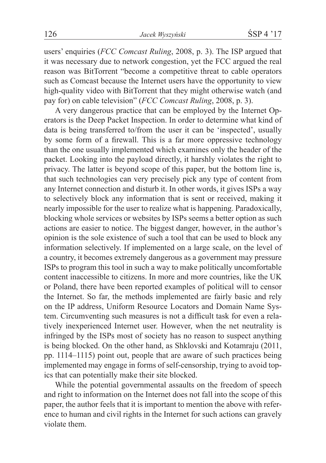users' enquiries (*FCC Comcast Ruling*, 2008, p. 3). The ISP argued that it was necessary due to network congestion, yet the FCC argued the real reason was BitTorrent "become a competitive threat to cable operators such as Comcast because the Internet users have the opportunity to view high-quality video with BitTorrent that they might otherwise watch (and pay for) on cable television" (*FCC Comcast Ruling*, 2008, p. 3).

A very dangerous practice that can be employed by the Internet Operators is the Deep Packet Inspection. In order to determine what kind of data is being transferred to/from the user it can be 'inspected', usually by some form of a firewall. This is a far more oppressive technology than the one usually implemented which examines only the header of the packet. Looking into the payload directly, it harshly violates the right to privacy. The latter is beyond scope of this paper, but the bottom line is, that such technologies can very precisely pick any type of content from any Internet connection and disturb it. In other words, it gives ISPs a way to selectively block any information that is sent or received, making it nearly impossible for the user to realize what is happening. Paradoxically, blocking whole services or websites by ISPs seems a better option as such actions are easier to notice. The biggest danger, however, in the author's opinion is the sole existence of such a tool that can be used to block any information selectively. If implemented on a large scale, on the level of a country, it becomes extremely dangerous as a government may pressure ISPs to program this tool in such a way to make politically uncomfortable content inaccessible to citizens. In more and more countries, like the UK or Poland, there have been reported examples of political will to censor the Internet. So far, the methods implemented are fairly basic and rely on the IP address, Uniform Resource Locators and Domain Name System. Circumventing such measures is not a difficult task for even a relatively inexperienced Internet user. However, when the net neutrality is infringed by the ISPs most of society has no reason to suspect anything is being blocked. On the other hand, as Shklovski and Kotamraju (2011, pp. 1114–1115) point out, people that are aware of such practices being implemented may engage in forms of self-censorship, trying to avoid topics that can potentially make their site blocked.

While the potential governmental assaults on the freedom of speech and right to information on the Internet does not fall into the scope of this paper, the author feels that it is important to mention the above with reference to human and civil rights in the Internet for such actions can gravely violate them.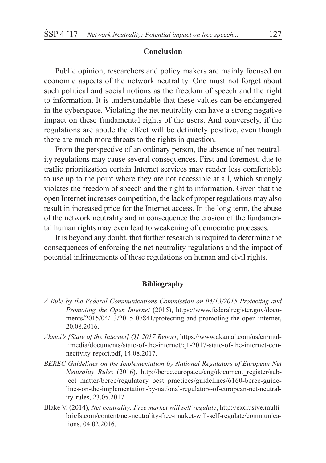## **Conclusion**

Public opinion, researchers and policy makers are mainly focused on economic aspects of the network neutrality. One must not forget about such political and social notions as the freedom of speech and the right to information. It is understandable that these values can be endangered in the cyberspace. Violating the net neutrality can have a strong negative impact on these fundamental rights of the users. And conversely, if the regulations are abode the effect will be definitely positive, even though there are much more threats to the rights in question.

From the perspective of an ordinary person, the absence of net neutrality regulations may cause several consequences. First and foremost, due to traffic prioritization certain Internet services may render less comfortable to use up to the point where they are not accessible at all, which strongly violates the freedom of speech and the right to information. Given that the open Internet increases competition, the lack of proper regulations may also result in increased price for the Internet access. In the long term, the abuse of the network neutrality and in consequence the erosion of the fundamental human rights may even lead to weakening of democratic processes.

It is beyond any doubt, that further research is required to determine the consequences of enforcing the net neutrality regulations and the impact of potential infringements of these regulations on human and civil rights.

#### **Bibliography**

- *A Rule by the Federal Communications Commission on 04/13/2015 Protecting and Promoting the Open Internet* (2015), https://www.federalregister.gov/documents/2015/04/13/2015-07841/protecting-and-promoting-the-open-internet, 20.08.2016.
- *Akmai's [State of the Internet] Q1 2017 Report*, https://www.akamai.com/us/en/multimedia/documents/state-of-the-internet/q1-2017-state-of-the-internet-connectivity-report.pdf, 14.08.2017.
- *BEREC Guidelines on the Implementation by National Regulators of European Net Neutrality Rules* (2016), http://berec.europa.eu/eng/document\_register/subject\_matter/berec/regulatory\_best\_practices/guidelines/6160-berec-guidelines-on-the-implementation-by-national-regulators-of-european-net-neutrality-rules, 23.05.2017.
- Blake V. (2014), *Net neutrality: Free market will self-regulate*, http://exclusive.multibriefs.com/content/net-neutrality-free-market-will-self-regulate/communications, 04.02.2016.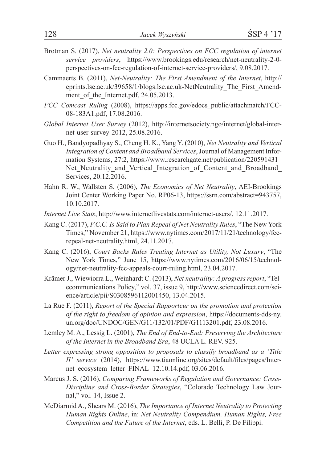- Brotman S. (2017), *Net neutrality 2.0: Perspectives on FCC regulation of internet service providers*, https://www.brookings.edu/research/net-neutrality-2-0 perspectives-on-fcc-regulation-of-internet-service-providers/, 9.08.2017.
- Cammaerts B. (2011), *Net-Neutrality: The First Amendment of the Internet*, http:// eprints.lse.ac.uk/39658/1/blogs.lse.ac.uk-NetNeutrality The First Amendment of the Internet.pdf, 24.05.2013.
- *FCC Comcast Ruling* (2008), https://apps.fcc.gov/edocs\_public/attachmatch/FCC-08-183A1.pdf, 17.08.2016.
- *Global Internet User Survey* (2012), http://internetsociety.ngo/internet/global-internet-user-survey-2012, 25.08.2016.
- Guo H., Bandyopadhyay S., Cheng H. K., Yang Y. (2010), *Net Neutrality and Vertical Integration of Content and Broadband Services*, Journal of Management Information Systems, 27:2, https://www.researchgate.net/publication/220591431\_ Net\_Neutrality\_and\_Vertical\_Integration\_of\_Content\_and\_Broadband\_ Services, 20.12.2016.
- Hahn R. W., Wallsten S. (2006), *The Economics of Net Neutrality*, AEI-Brookings Joint Center Working Paper No. RP06-13, https://ssrn.com/abstract=943757, 10.10.2017.
- *Internet Live Stats*, http://www.internetlivestats.com/internet-users/, 12.11.2017.
- Kang C. (2017), *F.C.C. Is Said to Plan Repeal of Net Neutrality Rules*, "The New York Times," November 21, https://www.nytimes.com/2017/11/21/technology/fccrepeal-net-neutrality.html, 24.11.2017.
- Kang C. (2016), *Court Backs Rules Treating Internet as Utility, Not Luxury*, "The New York Times," June 15, https://www.nytimes.com/2016/06/15/technology/net-neutrality-fcc-appeals-court-ruling.html, 23.04.2017.
- Krämer J., Wiewiorra L., Weinhardt C. (2013), *Net neutrality: A progress report*, "Telecommunications Policy," vol. 37, issue 9, http://www.sciencedirect.com/science/article/pii/S0308596112001450, 13.04.2015.
- La Rue F. (2011), *Report of the Special Rapporteur on the promotion and protection of the right to freedom of opinion and expression*, https://documents-dds-ny. un.org/doc/UNDOC/GEN/G11/132/01/PDF/G1113201.pdf, 23.08.2016.
- Lemley M. A., Lessig L. (2001), *The End of End-to-End: Preserving the Architecture of the Internet in the Broadband Era*, 48 UCLA L. REV. 925.
- *Letter expressing strong opposition to proposals to classify broadband as a 'Title II' service* (2014), https://www.tiaonline.org/sites/default/files/pages/Internet ecosystem\_letter\_FINAL\_12.10.14.pdf, 03.06.2016.
- Marcus J. S. (2016), *Comparing Frameworks of Regulation and Governance: Cross-Discipline and Cross-Border Strategies*, "Colorado Technology Law Journal," vol. 14, Issue 2.
- McDiarmid A., Shears M. (2016), *The Importance of Internet Neutrality to Protecting Human Rights Online*, in: *Net Neutrality Compendium. Human Rights, Free Competition and the Future of the Internet*, eds. L. Belli, P. De Filippi.